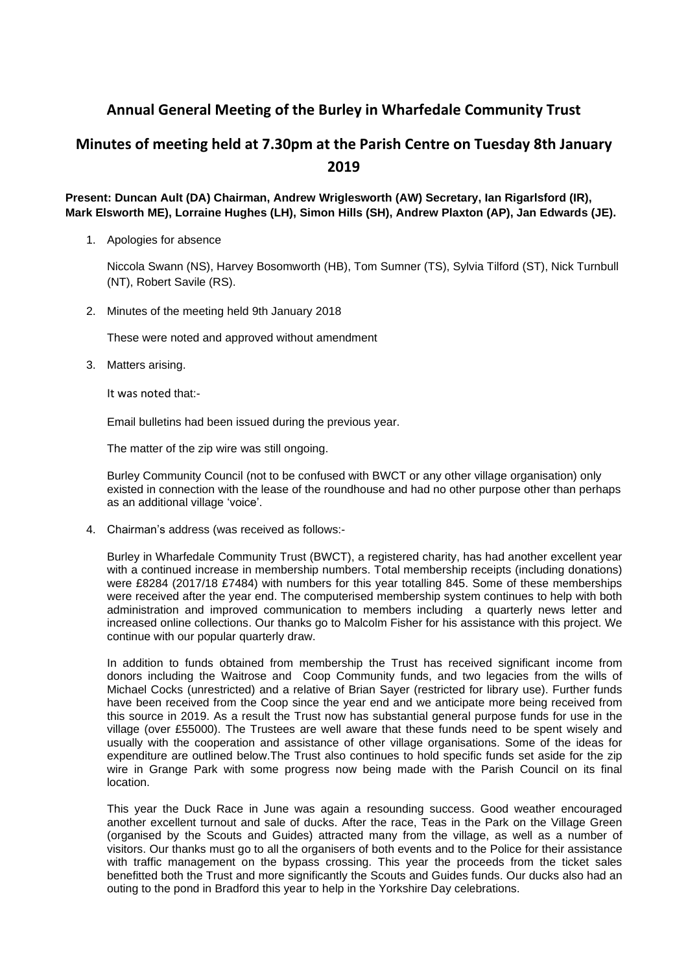## **Annual General Meeting of the Burley in Wharfedale Community Trust**

## **Minutes of meeting held at 7.30pm at the Parish Centre on Tuesday 8th January 2019**

## **Present: Duncan Ault (DA) Chairman, Andrew Wriglesworth (AW) Secretary, Ian Rigarlsford (IR), Mark Elsworth ME), Lorraine Hughes (LH), Simon Hills (SH), Andrew Plaxton (AP), Jan Edwards (JE).**

1. Apologies for absence

Niccola Swann (NS), Harvey Bosomworth (HB), Tom Sumner (TS), Sylvia Tilford (ST), Nick Turnbull (NT), Robert Savile (RS).

2. Minutes of the meeting held 9th January 2018

These were noted and approved without amendment

3. Matters arising.

It was noted that:-

Email bulletins had been issued during the previous year.

The matter of the zip wire was still ongoing.

Burley Community Council (not to be confused with BWCT or any other village organisation) only existed in connection with the lease of the roundhouse and had no other purpose other than perhaps as an additional village 'voice'.

4. Chairman's address (was received as follows:-

Burley in Wharfedale Community Trust (BWCT), a registered charity, has had another excellent year with a continued increase in membership numbers. Total membership receipts (including donations) were £8284 (2017/18 £7484) with numbers for this year totalling 845. Some of these memberships were received after the year end. The computerised membership system continues to help with both administration and improved communication to members including a quarterly news letter and increased online collections. Our thanks go to Malcolm Fisher for his assistance with this project. We continue with our popular quarterly draw.

In addition to funds obtained from membership the Trust has received significant income from donors including the Waitrose and Coop Community funds, and two legacies from the wills of Michael Cocks (unrestricted) and a relative of Brian Sayer (restricted for library use). Further funds have been received from the Coop since the year end and we anticipate more being received from this source in 2019. As a result the Trust now has substantial general purpose funds for use in the village (over £55000). The Trustees are well aware that these funds need to be spent wisely and usually with the cooperation and assistance of other village organisations. Some of the ideas for expenditure are outlined below.The Trust also continues to hold specific funds set aside for the zip wire in Grange Park with some progress now being made with the Parish Council on its final location.

This year the Duck Race in June was again a resounding success. Good weather encouraged another excellent turnout and sale of ducks. After the race, Teas in the Park on the Village Green (organised by the Scouts and Guides) attracted many from the village, as well as a number of visitors. Our thanks must go to all the organisers of both events and to the Police for their assistance with traffic management on the bypass crossing. This year the proceeds from the ticket sales benefitted both the Trust and more significantly the Scouts and Guides funds. Our ducks also had an outing to the pond in Bradford this year to help in the Yorkshire Day celebrations.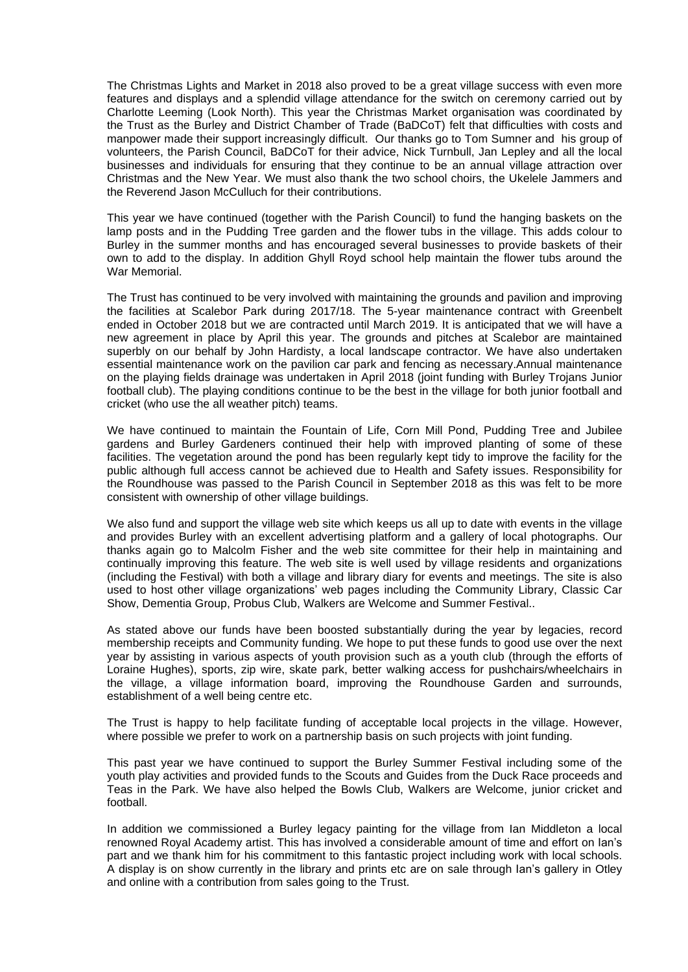The Christmas Lights and Market in 2018 also proved to be a great village success with even more features and displays and a splendid village attendance for the switch on ceremony carried out by Charlotte Leeming (Look North). This year the Christmas Market organisation was coordinated by the Trust as the Burley and District Chamber of Trade (BaDCoT) felt that difficulties with costs and manpower made their support increasingly difficult. Our thanks go to Tom Sumner and his group of volunteers, the Parish Council, BaDCoT for their advice, Nick Turnbull, Jan Lepley and all the local businesses and individuals for ensuring that they continue to be an annual village attraction over Christmas and the New Year. We must also thank the two school choirs, the Ukelele Jammers and the Reverend Jason McCulluch for their contributions.

This year we have continued (together with the Parish Council) to fund the hanging baskets on the lamp posts and in the Pudding Tree garden and the flower tubs in the village. This adds colour to Burley in the summer months and has encouraged several businesses to provide baskets of their own to add to the display. In addition Ghyll Royd school help maintain the flower tubs around the War Memorial.

The Trust has continued to be very involved with maintaining the grounds and pavilion and improving the facilities at Scalebor Park during 2017/18. The 5-year maintenance contract with Greenbelt ended in October 2018 but we are contracted until March 2019. It is anticipated that we will have a new agreement in place by April this year. The grounds and pitches at Scalebor are maintained superbly on our behalf by John Hardisty, a local landscape contractor. We have also undertaken essential maintenance work on the pavilion car park and fencing as necessary.Annual maintenance on the playing fields drainage was undertaken in April 2018 (joint funding with Burley Trojans Junior football club). The playing conditions continue to be the best in the village for both junior football and cricket (who use the all weather pitch) teams.

We have continued to maintain the Fountain of Life, Corn Mill Pond, Pudding Tree and Jubilee gardens and Burley Gardeners continued their help with improved planting of some of these facilities. The vegetation around the pond has been regularly kept tidy to improve the facility for the public although full access cannot be achieved due to Health and Safety issues. Responsibility for the Roundhouse was passed to the Parish Council in September 2018 as this was felt to be more consistent with ownership of other village buildings.

We also fund and support the village web site which keeps us all up to date with events in the village and provides Burley with an excellent advertising platform and a gallery of local photographs. Our thanks again go to Malcolm Fisher and the web site committee for their help in maintaining and continually improving this feature. The web site is well used by village residents and organizations (including the Festival) with both a village and library diary for events and meetings. The site is also used to host other village organizations' web pages including the Community Library, Classic Car Show, Dementia Group, Probus Club, Walkers are Welcome and Summer Festival..

As stated above our funds have been boosted substantially during the year by legacies, record membership receipts and Community funding. We hope to put these funds to good use over the next year by assisting in various aspects of youth provision such as a youth club (through the efforts of Loraine Hughes), sports, zip wire, skate park, better walking access for pushchairs/wheelchairs in the village, a village information board, improving the Roundhouse Garden and surrounds, establishment of a well being centre etc.

The Trust is happy to help facilitate funding of acceptable local projects in the village. However, where possible we prefer to work on a partnership basis on such projects with joint funding.

This past year we have continued to support the Burley Summer Festival including some of the youth play activities and provided funds to the Scouts and Guides from the Duck Race proceeds and Teas in the Park. We have also helped the Bowls Club, Walkers are Welcome, junior cricket and football.

In addition we commissioned a Burley legacy painting for the village from Ian Middleton a local renowned Royal Academy artist. This has involved a considerable amount of time and effort on Ian's part and we thank him for his commitment to this fantastic project including work with local schools. A display is on show currently in the library and prints etc are on sale through Ian's gallery in Otley and online with a contribution from sales going to the Trust.